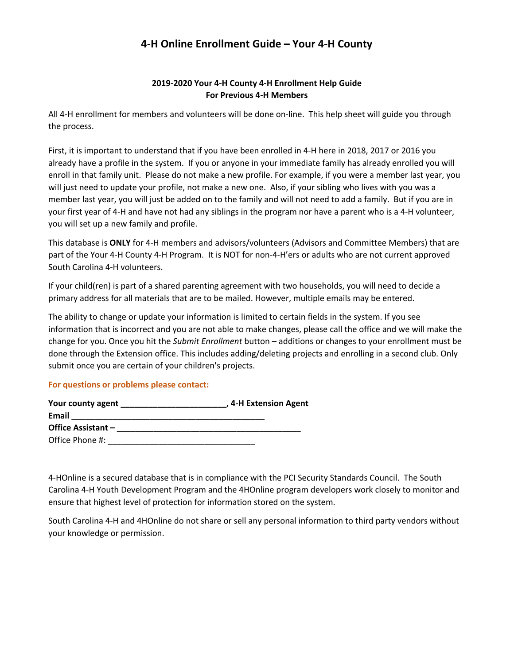# **4-H Online Enrollment Guide – Your 4-H County**

## **2019-2020 Your 4-H County 4-H Enrollment Help Guide For Previous 4-H Members**

All 4-H enrollment for members and volunteers will be done on-line. This help sheet will guide you through the process.

First, it is important to understand that if you have been enrolled in 4-H here in 2018, 2017 or 2016 you already have a profile in the system. If you or anyone in your immediate family has already enrolled you will enroll in that family unit. Please do not make a new profile. For example, if you were a member last year, you will just need to update your profile, not make a new one. Also, if your sibling who lives with you was a member last year, you will just be added on to the family and will not need to add a family. But if you are in your first year of 4-H and have not had any siblings in the program nor have a parent who is a 4-H volunteer, you will set up a new family and profile.

This database is **ONLY** for 4-H members and advisors/volunteers (Advisors and Committee Members) that are part of the Your 4-H County 4-H Program. It is NOT for non-4-H'ers or adults who are not current approved South Carolina 4-H volunteers.

If your child(ren) is part of a shared parenting agreement with two households, you will need to decide a primary address for all materials that are to be mailed. However, multiple emails may be entered.

The ability to change or update your information is limited to certain fields in the system. If you see information that is incorrect and you are not able to make changes, please call the office and we will make the change for you. Once you hit the *Submit Enrollment* button – additions or changes to your enrollment must be done through the Extension office. This includes adding/deleting projects and enrolling in a second club. Only submit once you are certain of your children's projects.

## **For questions or problems please contact:**

| Your county agent  | , 4-H Extension Agent |
|--------------------|-----------------------|
| Email              |                       |
| Office Assistant - |                       |
| Office Phone #:    |                       |

4-HOnline is a secured database that is in compliance with the PCI Security Standards Council. The South Carolina 4-H Youth Development Program and the 4HOnline program developers work closely to monitor and ensure that highest level of protection for information stored on the system.

South Carolina 4-H and 4HOnline do not share or sell any personal information to third party vendors without your knowledge or permission.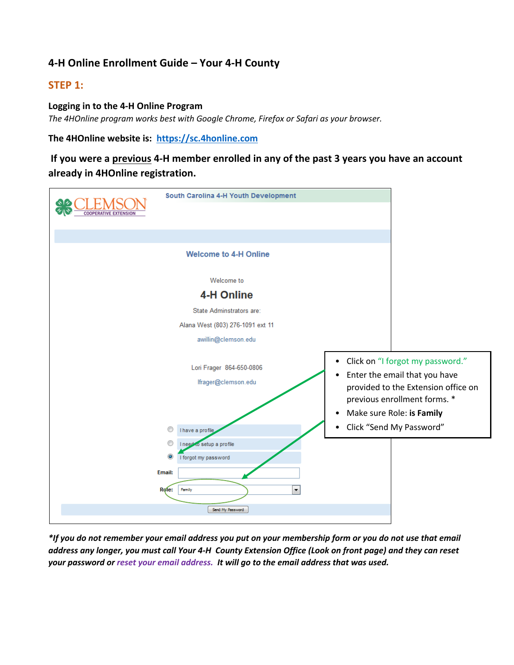# **4-H Online Enrollment Guide – Your 4-H County**

## **STEP 1:**

### **Logging in to the 4-H Online Program**

*The 4HOnline program works best with Google Chrome, Firefox or Safari as your browser.* 

**The 4HOnline website is: https://sc.4honline.com**

**If you were a previous 4-H member enrolled in any of the past 3 years you have an account already in 4HOnline registration.**



*\*If you do not remember your email address you put on your membership form or you do not use that email address any longer, you must call Your 4-H County Extension Office (Look on front page) and they can reset your password or reset your email address. It will go to the email address that was used.*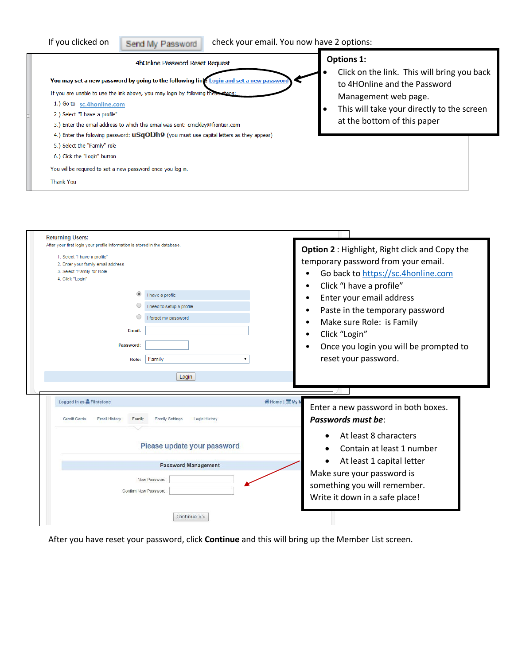| If you clicked on<br>Send My Password                                                                                                                                                                                                                                                                                                                                                                                                                                                                                              | check your email. You now have 2 options:                                                                                                                                                             |
|------------------------------------------------------------------------------------------------------------------------------------------------------------------------------------------------------------------------------------------------------------------------------------------------------------------------------------------------------------------------------------------------------------------------------------------------------------------------------------------------------------------------------------|-------------------------------------------------------------------------------------------------------------------------------------------------------------------------------------------------------|
| 4hOnline Password Reset Request<br>You may set a new password by going to the following link: Login and set a new password<br>If you are unable to use the link above, you may login by following these steps:<br>1.) Go to sc.4honline.com<br>2.) Select "I have a profile"<br>3.) Enter the email address to which this email was sent: cmickley@frontier.com<br>4.) Enter the following password: <b>uSqOIJh9</b> (you must use capital letters as they appear)<br>5.) Select the "Family" role<br>6.) Click the "Login" button | <b>Options 1:</b><br>Click on the link. This will bring you back<br>to 4HOnline and the Password<br>Management web page.<br>This will take your directly to the screen<br>at the bottom of this paper |
| You will be required to set a new password once you log in.<br><b>Thank You</b>                                                                                                                                                                                                                                                                                                                                                                                                                                                    |                                                                                                                                                                                                       |

| After your first login your profile information is stored in the database. |                                         | Option 2 : Highlight, Right click and Copy the |
|----------------------------------------------------------------------------|-----------------------------------------|------------------------------------------------|
| 1. Select "I have a profile"                                               |                                         |                                                |
| 2. Enter your family email address                                         |                                         | temporary password from your email.            |
| 3. Select "Family for Role                                                 |                                         | Go back to https://sc.4honline.com             |
| 4. Click "Login"                                                           |                                         | Click "I have a profile"<br>٠                  |
|                                                                            | I have a profile                        | Enter your email address<br>٠                  |
|                                                                            | I need to setup a profile               | Paste in the temporary password<br>٠           |
|                                                                            | forgot my password                      | Make sure Role: is Family<br>$\bullet$         |
| Email:                                                                     |                                         |                                                |
|                                                                            |                                         | Click "Login"<br>٠                             |
| Password:                                                                  |                                         | Once you login you will be prompted to         |
| Role:                                                                      | Family                                  | reset your password.                           |
|                                                                            |                                         |                                                |
|                                                                            |                                         |                                                |
|                                                                            | Login                                   |                                                |
|                                                                            |                                         |                                                |
| Logged in as <b>A</b> Flintstone                                           |                                         | 谷 Home   ■ My M                                |
|                                                                            |                                         | Enter a new password in both boxes.            |
| <b>Credit Cards</b><br><b>Email History</b><br>Family                      | <b>Family Settings</b><br>Login History | Passwords must be:                             |
|                                                                            |                                         |                                                |
|                                                                            |                                         | At least 8 characters                          |
|                                                                            | Please update your password             | Contain at least 1 number                      |
|                                                                            |                                         | At least 1 capital letter                      |
|                                                                            | <b>Password Management</b>              |                                                |
|                                                                            | New Password:                           | Make sure your password is                     |
|                                                                            | Confirm New Password:                   | something you will remember.                   |
|                                                                            |                                         | Write it down in a safe place!                 |

After you have reset your password, click **Continue** and this will bring up the Member List screen.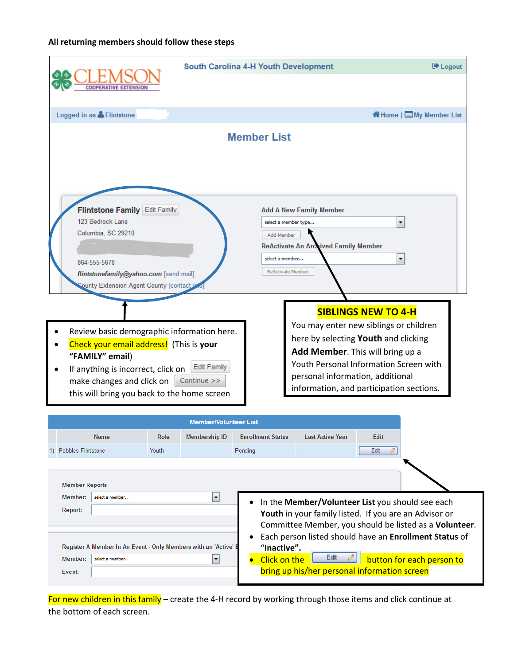## **All returning members should follow these steps**

|                                                                                                                                                                                                                            | <b>South Carolina 4-H Youth Development</b>                                                                                                                                                                                                                                                              | <b>■ Logout</b>                       |
|----------------------------------------------------------------------------------------------------------------------------------------------------------------------------------------------------------------------------|----------------------------------------------------------------------------------------------------------------------------------------------------------------------------------------------------------------------------------------------------------------------------------------------------------|---------------------------------------|
|                                                                                                                                                                                                                            |                                                                                                                                                                                                                                                                                                          |                                       |
| Logged in as & Flintstone                                                                                                                                                                                                  |                                                                                                                                                                                                                                                                                                          | K <sup>a</sup> Home   EMy Member List |
|                                                                                                                                                                                                                            | <b>Member List</b>                                                                                                                                                                                                                                                                                       |                                       |
| Flintstone Family Edit Family<br>123 Bedrock Lane<br>Columbia, SC 29210<br>864-555-5678<br>flintstonefamily@yahoo.com [send mail]<br><b>County Extension Agent County [contact is</b>                                      | <b>Add A New Family Member</b><br>select a member type<br>Add Member<br><b>ReActivate An Archived Family Member</b><br>select a member<br><b>ReActivate Member</b>                                                                                                                                       | ۰<br>۰                                |
| Review basic demographic information here.<br>Check your email address! (This is your<br>"FAMILY" email)<br>If anything is incorrect, click on<br>make changes and click on<br>this will bring you back to the home screen | <b>SIBLINGS NEW TO 4-H</b><br>You may enter new siblings or children<br>here by selecting Youth and clicking<br>Add Member. This will bring up a<br>Youth Personal Information Screen with<br>Edit Family<br>personal information, additional<br>Continue >><br>information, and participation sections. |                                       |

|                                                                                                                                                                           |       | <b>Member/Volunteer List</b> |                                    |                                                                                                                                                                   |             |                                                                                                                                               |
|---------------------------------------------------------------------------------------------------------------------------------------------------------------------------|-------|------------------------------|------------------------------------|-------------------------------------------------------------------------------------------------------------------------------------------------------------------|-------------|-----------------------------------------------------------------------------------------------------------------------------------------------|
| <b>Name</b>                                                                                                                                                               | Role  | <b>Membership ID</b>         | <b>Enrollment Status</b>           | <b>Last Active Year</b>                                                                                                                                           | <b>Edit</b> |                                                                                                                                               |
| 1) Pebbles Flintstone                                                                                                                                                     | Youth |                              | Pending                            |                                                                                                                                                                   | Edit        |                                                                                                                                               |
| <b>Member Reports</b><br>Member:<br>select a member<br>Report:<br>Register A Member In An Event - Only Members with an 'Active' E<br>Member:<br>select a member<br>Event: |       | ۰<br>▼                       | "Inactive".<br><b>Click on the</b> | In the Member/Volunteer List you should see each<br>Youth in your family listed. If you are an Advisor or<br>Edit<br>bring up his/her personal information screen |             | Committee Member, you should be listed as a Volunteer.<br>Each person listed should have an Enrollment Status of<br>button for each person to |

For new children in this family - create the 4-H record by working through those items and click continue at the bottom of each screen.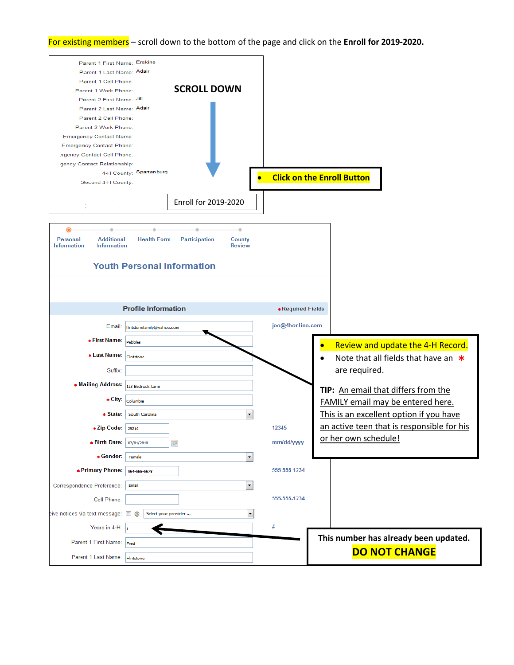#### For existing members – scroll down to the bottom of the page and click on the **Enroll for 2019-2020.**

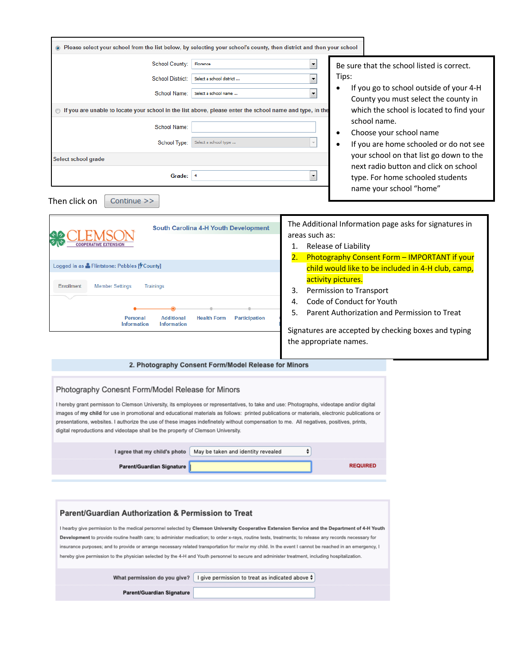| Please select your school from the list below, by selecting your school's county, then district and then your school                                                                                                                                                                                                                                                                                                                                                                                                                                                                                                                                                                                                                                                                                                                                                                                                                                                                                                                                                                                                                                                                                           |                                                                                                                                                                                                                                                                                                                                                                                                                                                                                                                                                 |
|----------------------------------------------------------------------------------------------------------------------------------------------------------------------------------------------------------------------------------------------------------------------------------------------------------------------------------------------------------------------------------------------------------------------------------------------------------------------------------------------------------------------------------------------------------------------------------------------------------------------------------------------------------------------------------------------------------------------------------------------------------------------------------------------------------------------------------------------------------------------------------------------------------------------------------------------------------------------------------------------------------------------------------------------------------------------------------------------------------------------------------------------------------------------------------------------------------------|-------------------------------------------------------------------------------------------------------------------------------------------------------------------------------------------------------------------------------------------------------------------------------------------------------------------------------------------------------------------------------------------------------------------------------------------------------------------------------------------------------------------------------------------------|
| <b>School County:</b><br>Florence<br><b>School District:</b><br>Select a school district<br>School Name:<br>Select a school name<br>◯ If you are unable to locate your school in the list above, please enter the school name and type, in the<br>School Name:<br>School Type:<br>Select a school type<br>Select school grade<br>Grade:<br> 4                                                                                                                                                                                                                                                                                                                                                                                                                                                                                                                                                                                                                                                                                                                                                                                                                                                                  | $\blacktriangledown$<br>Be sure that the school listed is correct.<br>Tips:<br>$\overline{\phantom{a}}$<br>If you go to school outside of your 4-H<br>٠<br>$\bar{\phantom{a}}$<br>County you must select the county in<br>which the school is located to find your<br>school name.<br>Choose your school name<br>$\bullet$<br>If you are home schooled or do not see<br>your school on that list go down to the<br>next radio button and click on school<br>$\blacktriangledown$<br>type. For home schooled students<br>name your school "home" |
| Then click on<br>Continue >><br>South Carolina 4-H Youth Development<br>Logged in as & Flintstone: Pebbles [7 County]<br>Enrollment<br><b>Member Settings</b><br><b>Trainings</b><br>Participation<br>Personal<br><b>Additional</b><br><b>Health Form</b><br><b>Information</b><br><b>Information</b><br>2. Photography Consent Form/Model Release for Minors                                                                                                                                                                                                                                                                                                                                                                                                                                                                                                                                                                                                                                                                                                                                                                                                                                                  | The Additional Information page asks for signatures in<br>areas such as:<br>Release of Liability<br>1.<br>Photography Consent Form - IMPORTANT if your<br>2.<br>child would like to be included in 4-H club, camp,<br>activity pictures.<br>Permission to Transport<br>3.<br>Code of Conduct for Youth<br>4.<br>Parent Authorization and Permission to Treat<br>5.<br>Signatures are accepted by checking boxes and typing<br>the appropriate names.                                                                                            |
| Photography Conesnt Form/Model Release for Minors<br>I hereby grant permisson to Clemson University, its employees or representatives, to take and use: Photographs, videotape and/or digital<br>images of my child for use in promotional and educational materials as follows: printed publications or materials, electronic publications or<br>presentations, websites. I authorize the use of these images indefinetely without compensation to me. All negatives, positives, prints,<br>digital reproductions and videotape shall be the property of Clemson University.<br>I agree that my child's photo<br>May be taken and identity revealed<br>Parent/Guardian Signature<br>Parent/Guardian Authorization & Permission to Treat<br>I hearby give permission to the medical personnel selected by Clemson University Cooperative Extension Service and the Department of 4-H Youth<br>Development to provide routine health care; to administer medication; to order x-rays, routine tests, treatments; to release any records necessary for<br>insurance purposes; and to provide or arrange necessary related transportation for me/or my child. In the event I cannot be reached in an emergency, I | ÷<br><b>REQUIRED</b>                                                                                                                                                                                                                                                                                                                                                                                                                                                                                                                            |
| hereby give permission to the physician selected by the 4-H and Youth personnel to secure and administer treatment, including hospitalization.<br>What permission do you give?<br>I give permission to treat as indicated above ♦<br>Parent/Guardian Signature                                                                                                                                                                                                                                                                                                                                                                                                                                                                                                                                                                                                                                                                                                                                                                                                                                                                                                                                                 |                                                                                                                                                                                                                                                                                                                                                                                                                                                                                                                                                 |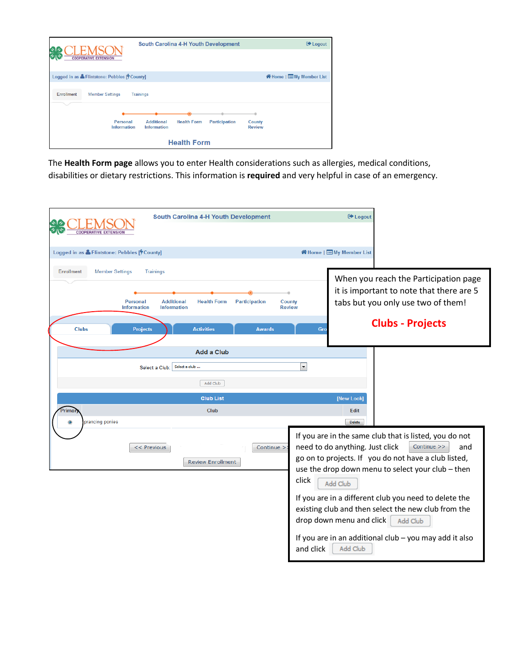

The **Health Form page** allows you to enter Health considerations such as allergies, medical conditions, disabilities or dietary restrictions. This information is **required** and very helpful in case of an emergency.